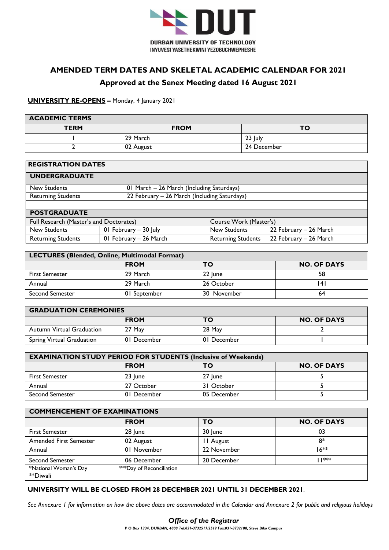

# **AMENDED TERM DATES AND SKELETAL ACADEMIC CALENDAR FOR 2021**

## **Approved at the Senex Meeting dated 16 August 2021**

#### **UNIVERSITY RE-OPENS –** Monday, 4 January 2021

| <b>ACADEMIC TERMS</b> |             |             |  |  |  |  |  |  |  |  |  |
|-----------------------|-------------|-------------|--|--|--|--|--|--|--|--|--|
| <b>TERM</b>           | <b>FROM</b> | <b>TO</b>   |  |  |  |  |  |  |  |  |  |
|                       | 29 March    | $23$ July   |  |  |  |  |  |  |  |  |  |
|                       | 02 August   | 24 December |  |  |  |  |  |  |  |  |  |

| <b>REGISTRATION DATES</b>                                                 |                        |                           |                        |  |  |  |  |  |  |
|---------------------------------------------------------------------------|------------------------|---------------------------|------------------------|--|--|--|--|--|--|
| <b>UNDERGRADUATE</b>                                                      |                        |                           |                        |  |  |  |  |  |  |
| 01 March - 26 March (Including Saturdays)<br>New Students                 |                        |                           |                        |  |  |  |  |  |  |
| 22 February - 26 March (Including Saturdays)<br><b>Returning Students</b> |                        |                           |                        |  |  |  |  |  |  |
|                                                                           |                        |                           |                        |  |  |  |  |  |  |
| <b>POSTGRADUATE</b>                                                       |                        |                           |                        |  |  |  |  |  |  |
| Full Research (Master's and Doctorates)                                   |                        | Course Work (Master's)    |                        |  |  |  |  |  |  |
| New Students                                                              | 01 February - 30 July  | New Students              | 22 February - 26 March |  |  |  |  |  |  |
| <b>Returning Students</b>                                                 | 01 February - 26 March | <b>Returning Students</b> | 22 February - 26 March |  |  |  |  |  |  |

| LECTURES (Blended, Online, Multimodal Format) |              |             |    |  |  |  |  |  |  |  |
|-----------------------------------------------|--------------|-------------|----|--|--|--|--|--|--|--|
| <b>FROM</b><br><b>NO. OF DAYS</b><br>то       |              |             |    |  |  |  |  |  |  |  |
| <b>First Semester</b>                         | 29 March     | 22 June     | 58 |  |  |  |  |  |  |  |
| Annual                                        | 29 March     | 26 October  | 4  |  |  |  |  |  |  |  |
| <b>Second Semester</b>                        | 01 September | 30 November | 64 |  |  |  |  |  |  |  |

| <b>GRADUATION CEREMONIES</b> |             |             |                    |  |  |  |  |  |  |
|------------------------------|-------------|-------------|--------------------|--|--|--|--|--|--|
|                              | <b>FROM</b> | TO          | <b>NO. OF DAYS</b> |  |  |  |  |  |  |
| Autumn Virtual Graduation    | 27 May      | 28 May      |                    |  |  |  |  |  |  |
| Spring Virtual Graduation    | 01 December | 01 December |                    |  |  |  |  |  |  |

| <b>EXAMINATION STUDY PERIOD FOR STUDENTS (Inclusive of Weekends)</b> |             |             |  |  |  |  |  |  |  |  |
|----------------------------------------------------------------------|-------------|-------------|--|--|--|--|--|--|--|--|
| <b>FROM</b><br><b>NO. OF DAYS</b><br>то                              |             |             |  |  |  |  |  |  |  |  |
| <b>First Semester</b>                                                | 23 June     | 27 lune     |  |  |  |  |  |  |  |  |
| Annual                                                               | 27 October  | 31 October  |  |  |  |  |  |  |  |  |
| <b>Second Semester</b>                                               | 01 December | 05 December |  |  |  |  |  |  |  |  |

| <b>COMMENCEMENT OF EXAMINATIONS</b> |                          |             |                    |  |  |  |  |  |  |
|-------------------------------------|--------------------------|-------------|--------------------|--|--|--|--|--|--|
|                                     | <b>FROM</b>              | TO          | <b>NO. OF DAYS</b> |  |  |  |  |  |  |
| <b>First Semester</b>               | 28 June                  | 30 June     | 03                 |  |  |  |  |  |  |
| <b>Amended First Semester</b>       | 02 August                | II August   | 8*                 |  |  |  |  |  |  |
| Annual                              | 01 November              | 22 November | $16**$             |  |  |  |  |  |  |
| <b>Second Semester</b>              | 06 December              | 20 December | ***                |  |  |  |  |  |  |
| *National Woman's Day<br>**Diwali   | ***Day of Reconciliation |             |                    |  |  |  |  |  |  |

# **UNIVERSITY WILL BE CLOSED FROM 28 DECEMBER 2021 UNTIL 31 DECEMBER 2021**.

*See Annexure 1 for information on how the above dates are accommodated in the Calendar and Annexure 2 for public and religious holidays*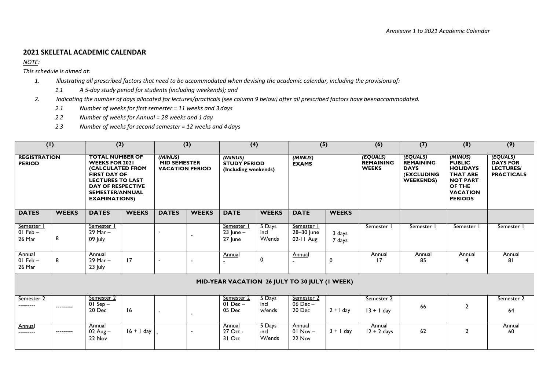#### **2021 SKELETAL ACADEMIC CALENDAR**

*NOTE:* 

*This schedule is aimed at:*

- *1. Illustrating all prescribed factors that need to be accommodated when devising the academic calendar, including the provisions of:*
	- *1.1 A 5-day study period for students (including weekends); and*
- *2. Indicating the number of days allocated for lectures/practicals (see column 9 below) after all prescribed factors have beenaccommodated.*
	- *2.1 Number of weeks for first semester = 11 weeks and 3 days*
	- *2.2 Number of weeks for Annual = 28 weeks and 1 day*
	- *2.3 Number of weeks for second semester = 12 weeks and 4 days*

| $\overline{(\mathsf{I})}$            |                                               | $\overline{(2)}$                                                                                                                                                                                    |              |                                                                                                             | $\overline{(3)}$ | (4)                                    |                          | $\overline{(5)}$                      |                                              | (6)                                                                                  | (7)                                                                                                                              | (8)                                                                  | (9)                 |
|--------------------------------------|-----------------------------------------------|-----------------------------------------------------------------------------------------------------------------------------------------------------------------------------------------------------|--------------|-------------------------------------------------------------------------------------------------------------|------------------|----------------------------------------|--------------------------|---------------------------------------|----------------------------------------------|--------------------------------------------------------------------------------------|----------------------------------------------------------------------------------------------------------------------------------|----------------------------------------------------------------------|---------------------|
| <b>REGISTRATION</b><br><b>PERIOD</b> |                                               | <b>TOTAL NUMBER OF</b><br><b>WEEKS FOR 2021</b><br>(CALCULATED FROM<br><b>FIRST DAY OF</b><br><b>LECTURES TO LAST</b><br><b>DAY OF RESPECTIVE</b><br><b>SEMESTER/ANNUAL</b><br><b>EXAMINATIONS)</b> |              | (MINUS)<br>(MINUS)<br>MID SEMESTER<br><b>STUDY PERIOD</b><br><b>VACATION PERIOD</b><br>(Including weekends) |                  |                                        | (MINUS)<br><b>EXAMS</b>  |                                       | (EQUALS)<br><b>REMAINING</b><br><b>WEEKS</b> | (EQUALS)<br><b>REMAINING</b><br><b>DAYS</b><br><b>(EXCLUDING</b><br><b>WEEKENDS)</b> | (MINUS)<br><b>PUBLIC</b><br><b>HOLIDAYS</b><br><b>THAT ARE</b><br><b>NOT PART</b><br>OF THE<br><b>VACATION</b><br><b>PERIODS</b> | (EQUALS)<br><b>DAYS FOR</b><br><b>LECTURES/</b><br><b>PRACTICALS</b> |                     |
| <b>DATES</b>                         | <b>WEEKS</b>                                  | <b>DATES</b>                                                                                                                                                                                        | <b>WEEKS</b> | <b>DATES</b>                                                                                                | <b>WEEKS</b>     | <b>DATE</b>                            | <b>WEEKS</b>             | <b>DATE</b>                           | <b>WEEKS</b>                                 |                                                                                      |                                                                                                                                  |                                                                      |                     |
| Semester I<br>$01$ Feb $-$<br>26 Mar | 8                                             | Semester I<br>$29$ Mar $-$<br>09 July                                                                                                                                                               |              |                                                                                                             |                  | Semester  <br>$23$ June $-$<br>27 June | 5 Days<br>incl<br>W/ends | Semester I<br>28-30 June<br>02-11 Aug | 3 days<br>7 days                             | Semester I                                                                           | Semester                                                                                                                         | Semester                                                             | Semester            |
| Annual<br>$01$ Feb $-$<br>26 Mar     | 8                                             | Annual<br>$29$ Mar $-$<br>23 July                                                                                                                                                                   | 17           |                                                                                                             |                  | Annual                                 | 0                        | Annual                                | 0                                            | <b>Annual</b><br>17                                                                  | Annual<br>85                                                                                                                     | Annual                                                               | <b>Annual</b><br>81 |
|                                      | MID-YEAR VACATION 26 JULY TO 30 JULY (I WEEK) |                                                                                                                                                                                                     |              |                                                                                                             |                  |                                        |                          |                                       |                                              |                                                                                      |                                                                                                                                  |                                                                      |                     |
| Semester 2<br>---------              | ---------                                     | Semester 2<br>$01$ Sep $-$<br>20 Dec                                                                                                                                                                | 16           |                                                                                                             |                  | Semester 2<br>$01$ Dec $-$<br>05 Dec   | 5 Days<br>incl<br>w/ends | Semester 2<br>$06$ Dec $-$<br>20 Dec  | $2 + 1$ day                                  | Semester 2<br>$13 + 1$ day                                                           | 66                                                                                                                               | $\overline{2}$                                                       | Semester 2<br>64    |
| Annual<br>---------                  | ---------                                     | Annual<br>$02$ Aug $-$<br>22 Nov                                                                                                                                                                    | $16 + 1$ day |                                                                                                             |                  | Annual<br>27 Oct -<br>31 Oct           | 5 Days<br>incl<br>W/ends | Annual<br>$01$ Nov $-$<br>22 Nov      | $3 + 1$ day                                  | Annual<br>$12 + 2$ days                                                              | 62                                                                                                                               | $\overline{2}$                                                       | <b>Annual</b><br>60 |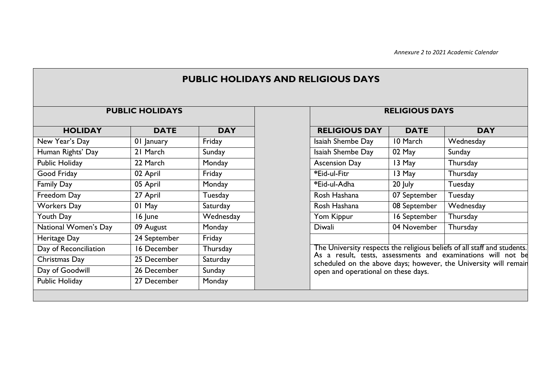|                         | <b>PUBLIC HOLIDAYS</b> |            |                                                                                                         | <b>RELIGIOUS DAYS</b> |            |  |  |
|-------------------------|------------------------|------------|---------------------------------------------------------------------------------------------------------|-----------------------|------------|--|--|
| <b>HOLIDAY</b>          | <b>DATE</b>            | <b>DAY</b> | <b>RELIGIOUS DAY</b>                                                                                    | <b>DATE</b>           | <b>DAY</b> |  |  |
| New Year's Day          | 01 January             | Friday     | Isaiah Shembe Day                                                                                       | 10 March              | Wednesday  |  |  |
| Human Rights' Day       | 21 March               | Sunday     | Isaiah Shembe Day                                                                                       | 02 May                | Sunday     |  |  |
| Public Holiday          | 22 March               | Monday     | <b>Ascension Day</b>                                                                                    | 13 May                | Thursday   |  |  |
| Good Friday<br>02 April |                        | Friday     | *Eid-ul-Fitr                                                                                            | 13 May                | Thursday   |  |  |
| <b>Family Day</b>       | 05 April               |            | *Eid-ul-Adha                                                                                            | 20 July               | Tuesday    |  |  |
| Freedom Day             | 27 April               | Tuesday    | Rosh Hashana                                                                                            | 07 September          | Tuesday    |  |  |
| <b>Workers Day</b>      | 01 May                 | Saturday   | Rosh Hashana                                                                                            | 08 September          | Wednesday  |  |  |
| Youth Day               | 16 June                | Wednesday  | Yom Kippur                                                                                              | 16 September          | Thursday   |  |  |
| National Women's Day    | 09 August              | Monday     | Diwali                                                                                                  | 04 November           | Thursday   |  |  |
| Heritage Day            | 24 September           | Friday     |                                                                                                         |                       |            |  |  |
| Day of Reconciliation   | 16 December            | Thursday   | The University respects the religious beliefs of all staff and students.                                |                       |            |  |  |
| Christmas Day           | 25 December            | Saturday   | As a result, tests, assessments and examinations will not be                                            |                       |            |  |  |
| Day of Goodwill         | 26 December            | Sunday     | scheduled on the above days; however, the University will remain<br>open and operational on these days. |                       |            |  |  |
| Public Holiday          | 27 December            | Monday     |                                                                                                         |                       |            |  |  |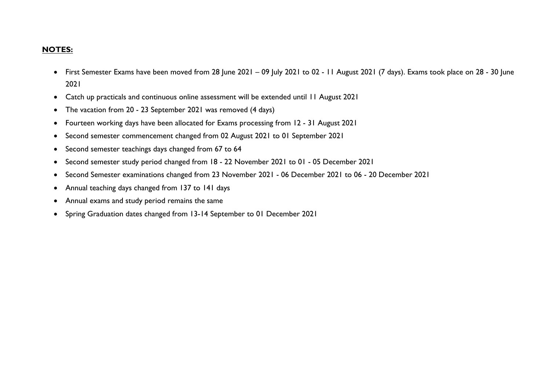### **NOTES:**

- First Semester Exams have been moved from 28 June 2021 09 July 2021 to 02 11 August 2021 (7 days). Exams took place on 28 30 June 2021
- Catch up practicals and continuous online assessment will be extended until 11 August 2021
- The vacation from 20 23 September 2021 was removed (4 days)
- Fourteen working days have been allocated for Exams processing from 12 31 August 2021
- Second semester commencement changed from 02 August 2021 to 01 September 2021
- Second semester teachings days changed from 67 to 64
- Second semester study period changed from 18 22 November 2021 to 01 05 December 2021
- Second Semester examinations changed from 23 November 2021 06 December 2021 to 06 20 December 2021
- Annual teaching days changed from 137 to 141 days
- Annual exams and study period remains the same
- Spring Graduation dates changed from 13-14 September to 01 December 2021